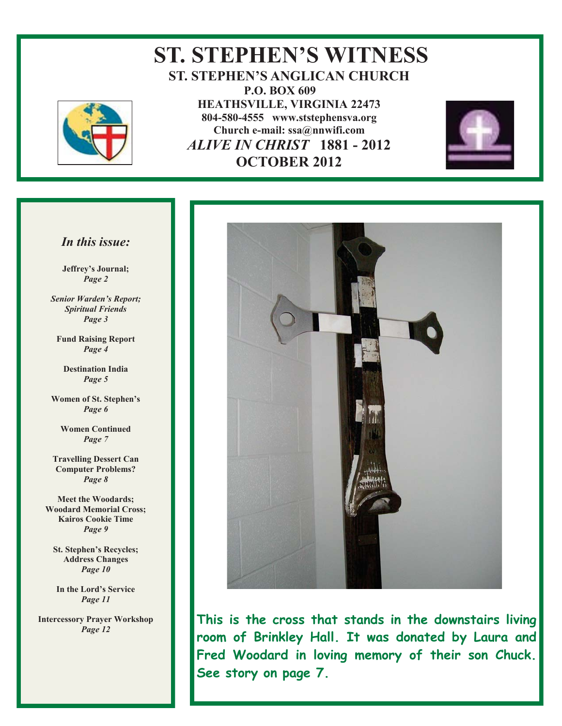

## **ST. STEPHEN'S WITNESS ST. STEPHEN'S ANGLICAN CHURCH P.O. BOX 609 HEATHSVILLE, VIRGINIA 22473 804-580-4555 www.ststephensva.org Church e-mail: ssa@nnwifi.com**   *ALIVE IN CHRIST* **1881 - 2012 OCTOBER 2012**



#### *In this issue:*

**Jeffrey's Journal;** *Page 2* 

*Senior Warden's Report; Spiritual Friends Page 3* 

**Fund Raising Report**  *Page 4* 

**Destination India**  *Page 5* 

**Women of St. Stephen's** *Page 6* 

**Women Continued**  *Page 7* 

**Travelling Dessert Can Computer Problems?**  *Page 8* 

**Meet the Woodards; Woodard Memorial Cross; Kairos Cookie Time**  *Page 9* 

**St. Stephen's Recycles; Address Changes**  *Page 10* 

**In the Lord's Service** *Page 11* 

**Intercessory Prayer Workshop**  *Page 12* 



**This is the cross that stands in the downstairs living room of Brinkley Hall. It was donated by Laura and Fred Woodard in loving memory of their son Chuck. See story on page 7.** 

Ĩ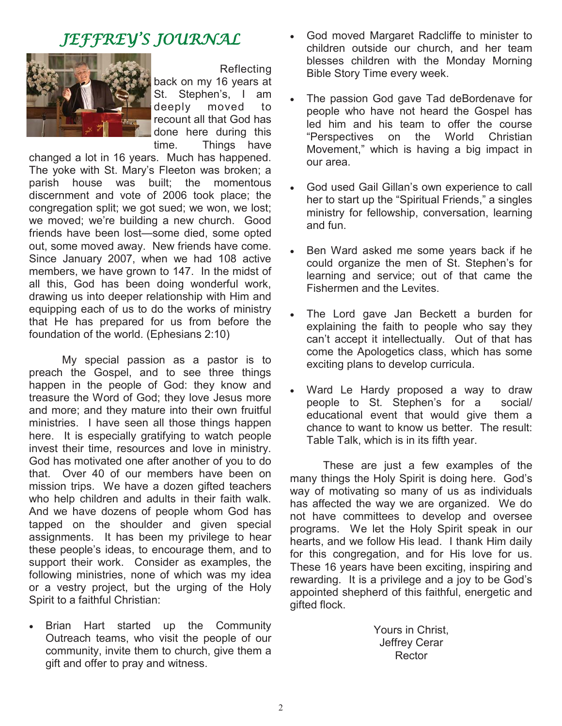## JEFFREY'S JOURNAL



 Reflecting back on my 16 years at St. Stephen's, I am deeply moved to recount all that God has done here during this time. Things have

changed a lot in 16 years. Much has happened. The yoke with St. Mary's Fleeton was broken; a parish house was built; the momentous discernment and vote of 2006 took place; the congregation split; we got sued; we won, we lost; we moved; we're building a new church. Good friends have been lost—some died, some opted out, some moved away. New friends have come. Since January 2007, when we had 108 active members, we have grown to 147. In the midst of all this, God has been doing wonderful work, drawing us into deeper relationship with Him and equipping each of us to do the works of ministry that He has prepared for us from before the foundation of the world. (Ephesians 2:10)

 My special passion as a pastor is to preach the Gospel, and to see three things happen in the people of God: they know and treasure the Word of God; they love Jesus more and more; and they mature into their own fruitful ministries. I have seen all those things happen here. It is especially gratifying to watch people invest their time, resources and love in ministry. God has motivated one after another of you to do that. Over 40 of our members have been on mission trips. We have a dozen gifted teachers who help children and adults in their faith walk. And we have dozens of people whom God has tapped on the shoulder and given special assignments. It has been my privilege to hear these people's ideas, to encourage them, and to support their work. Consider as examples, the following ministries, none of which was my idea or a vestry project, but the urging of the Holy Spirit to a faithful Christian:

Brian Hart started up the Community Outreach teams, who visit the people of our community, invite them to church, give them a gift and offer to pray and witness.

- God moved Margaret Radcliffe to minister to children outside our church, and her team blesses children with the Monday Morning Bible Story Time every week.
- The passion God gave Tad deBordenave for people who have not heard the Gospel has led him and his team to offer the course "Perspectives on the World Christian Movement," which is having a big impact in our area.
- God used Gail Gillan's own experience to call her to start up the "Spiritual Friends," a singles ministry for fellowship, conversation, learning and fun.
- Ben Ward asked me some years back if he could organize the men of St. Stephen's for learning and service; out of that came the Fishermen and the Levites.
- The Lord gave Jan Beckett a burden for explaining the faith to people who say they can't accept it intellectually. Out of that has come the Apologetics class, which has some exciting plans to develop curricula.
- Ward Le Hardy proposed a way to draw people to St. Stephen's for a social/ educational event that would give them a chance to want to know us better. The result: Table Talk, which is in its fifth year.

 These are just a few examples of the many things the Holy Spirit is doing here. God's way of motivating so many of us as individuals has affected the way we are organized. We do not have committees to develop and oversee programs. We let the Holy Spirit speak in our hearts, and we follow His lead. I thank Him daily for this congregation, and for His love for us. These 16 years have been exciting, inspiring and rewarding. It is a privilege and a joy to be God's appointed shepherd of this faithful, energetic and gifted flock.

> Yours in Christ, Jeffrey Cerar Rector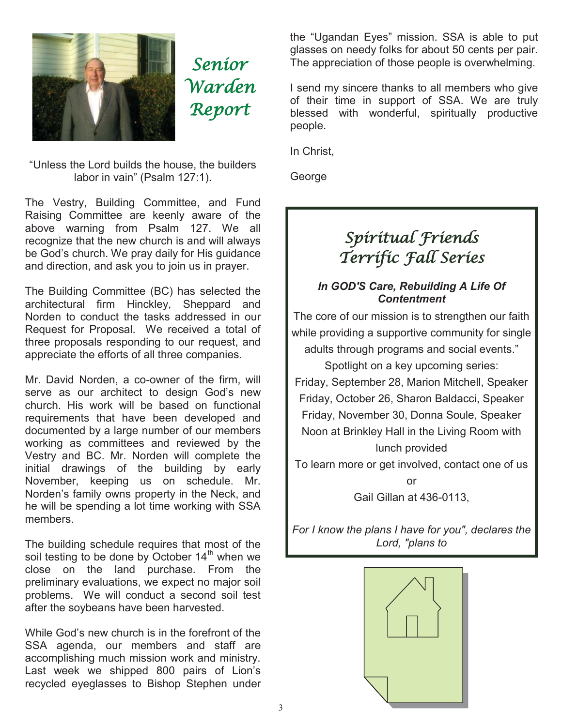

Senior Warden Report

"Unless the Lord builds the house, the builders labor in vain" (Psalm 127:1).

The Vestry, Building Committee, and Fund Raising Committee are keenly aware of the above warning from Psalm 127. We all recognize that the new church is and will always be God's church. We pray daily for His guidance and direction, and ask you to join us in prayer.

The Building Committee (BC) has selected the architectural firm Hinckley, Sheppard and Norden to conduct the tasks addressed in our Request for Proposal. We received a total of three proposals responding to our request, and appreciate the efforts of all three companies.

Mr. David Norden, a co-owner of the firm, will serve as our architect to design God's new church. His work will be based on functional requirements that have been developed and documented by a large number of our members working as committees and reviewed by the Vestry and BC. Mr. Norden will complete the initial drawings of the building by early November, keeping us on schedule. Mr. Norden's family owns property in the Neck, and he will be spending a lot time working with SSA members.

The building schedule requires that most of the soil testing to be done by October  $14<sup>th</sup>$  when we close on the land purchase. From the preliminary evaluations, we expect no major soil problems. We will conduct a second soil test after the soybeans have been harvested.

While God's new church is in the forefront of the SSA agenda, our members and staff are accomplishing much mission work and ministry. Last week we shipped 800 pairs of Lion's recycled eyeglasses to Bishop Stephen under the "Ugandan Eyes" mission. SSA is able to put glasses on needy folks for about 50 cents per pair. The appreciation of those people is overwhelming.

I send my sincere thanks to all members who give of their time in support of SSA. We are truly blessed with wonderful, spiritually productive people.

In Christ,

George

## Spiritual Friends Terrific Fall Series

#### *In GOD'S Care, Rebuilding A Life Of Contentment*

The core of our mission is to strengthen our faith while providing a supportive community for single adults through programs and social events."

Spotlight on a key upcoming series: Friday, September 28, Marion Mitchell, Speaker Friday, October 26, Sharon Baldacci, Speaker Friday, November 30, Donna Soule, Speaker Noon at Brinkley Hall in the Living Room with lunch provided

To learn more or get involved, contact one of us

or Gail Gillan at 436-0113,

*For I know the plans I have for you", declares the Lord, "plans to* 

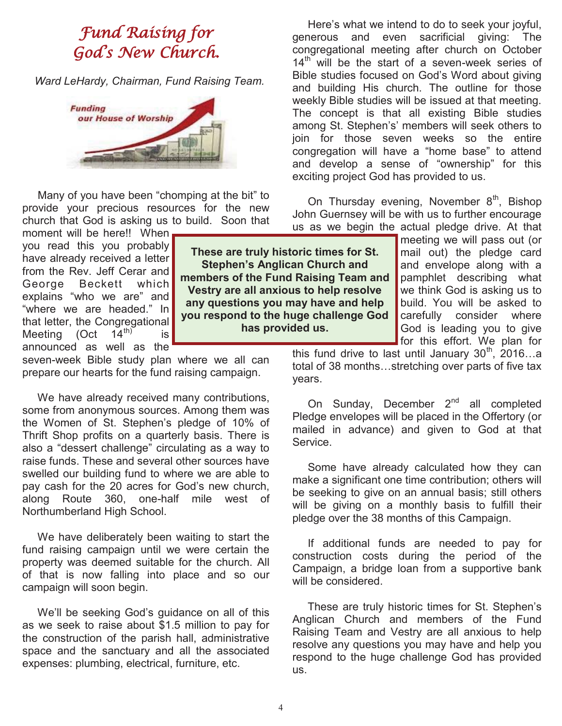## Fund Raising for God' s New Church.

 *Ward LeHardy, Chairman, Fund Raising Team.* 



 Many of you have been "chomping at the bit" to provide your precious resources for the new church that God is asking us to build. Soon that

moment will be here!! When you read this you probably have already received a letter from the Rev. Jeff Cerar and George Beckett which explains "who we are" and "where we are headed." In that letter, the Congregational<br>Meeting (Oct  $14<sup>th</sup>$  is Meeting (Oct  $14^{\text{m}}$  is announced as well as the

seven-week Bible study plan where we all can prepare our hearts for the fund raising campaign.

 We have already received many contributions, some from anonymous sources. Among them was the Women of St. Stephen's pledge of 10% of Thrift Shop profits on a quarterly basis. There is also a "dessert challenge" circulating as a way to raise funds. These and several other sources have swelled our building fund to where we are able to pay cash for the 20 acres for God's new church, along Route 360, one-half mile west of Northumberland High School.

 We have deliberately been waiting to start the fund raising campaign until we were certain the property was deemed suitable for the church. All of that is now falling into place and so our campaign will soon begin.

 We'll be seeking God's guidance on all of this as we seek to raise about \$1.5 million to pay for the construction of the parish hall, administrative space and the sanctuary and all the associated expenses: plumbing, electrical, furniture, etc.

 Here's what we intend to do to seek your joyful, generous and even sacrificial giving: The congregational meeting after church on October  $14<sup>th</sup>$  will be the start of a seven-week series of Bible studies focused on God's Word about giving and building His church. The outline for those weekly Bible studies will be issued at that meeting. The concept is that all existing Bible studies among St. Stephen's' members will seek others to join for those seven weeks so the entire congregation will have a "home base" to attend and develop a sense of "ownership" for this exciting project God has provided to us.

On Thursday evening, November  $8<sup>th</sup>$ , Bishop John Guernsey will be with us to further encourage us as we begin the actual pledge drive. At that

> meeting we will pass out (or mail out) the pledge card and envelope along with a pamphlet describing what we think God is asking us to build. You will be asked to carefully consider where God is leading you to give for this effort. We plan for

**These are truly historic times for St. Stephen's Anglican Church and members of the Fund Raising Team and Vestry are all anxious to help resolve any questions you may have and help you respond to the huge challenge God has provided us.** 

> this fund drive to last until January  $30<sup>th</sup>$ , 2016...a total of 38 months…stretching over parts of five tax years.

> On Sunday, December 2<sup>nd</sup> all completed Pledge envelopes will be placed in the Offertory (or mailed in advance) and given to God at that Service.

> Some have already calculated how they can make a significant one time contribution; others will be seeking to give on an annual basis; still others will be giving on a monthly basis to fulfill their pledge over the 38 months of this Campaign.

> If additional funds are needed to pay for construction costs during the period of the Campaign, a bridge loan from a supportive bank will be considered.

> These are truly historic times for St. Stephen's Anglican Church and members of the Fund Raising Team and Vestry are all anxious to help resolve any questions you may have and help you respond to the huge challenge God has provided us.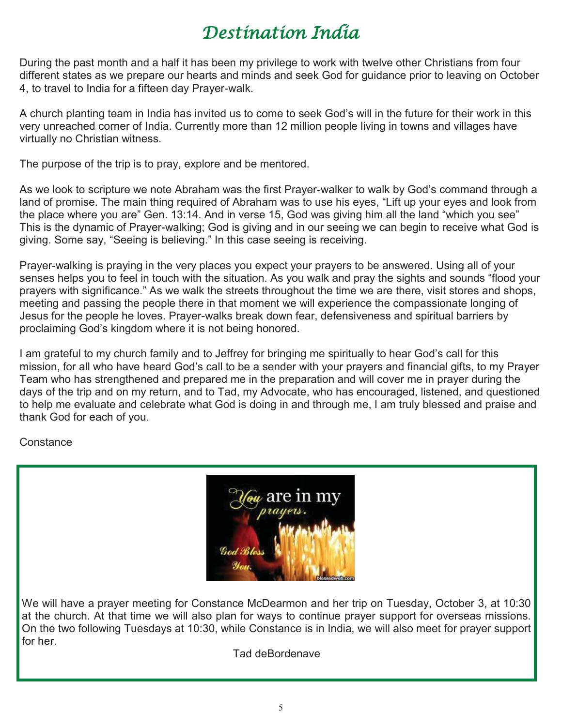# Destination India

During the past month and a half it has been my privilege to work with twelve other Christians from four different states as we prepare our hearts and minds and seek God for guidance prior to leaving on October 4, to travel to India for a fifteen day Prayer-walk.

A church planting team in India has invited us to come to seek God's will in the future for their work in this very unreached corner of India. Currently more than 12 million people living in towns and villages have virtually no Christian witness.

The purpose of the trip is to pray, explore and be mentored.

As we look to scripture we note Abraham was the first Prayer-walker to walk by God's command through a land of promise. The main thing required of Abraham was to use his eyes, "Lift up your eyes and look from the place where you are" Gen. 13:14. And in verse 15, God was giving him all the land "which you see" This is the dynamic of Prayer-walking; God is giving and in our seeing we can begin to receive what God is giving. Some say, "Seeing is believing." In this case seeing is receiving.

Prayer-walking is praying in the very places you expect your prayers to be answered. Using all of your senses helps you to feel in touch with the situation. As you walk and pray the sights and sounds "flood your prayers with significance." As we walk the streets throughout the time we are there, visit stores and shops, meeting and passing the people there in that moment we will experience the compassionate longing of Jesus for the people he loves. Prayer-walks break down fear, defensiveness and spiritual barriers by proclaiming God's kingdom where it is not being honored.

I am grateful to my church family and to Jeffrey for bringing me spiritually to hear God's call for this mission, for all who have heard God's call to be a sender with your prayers and financial gifts, to my Prayer Team who has strengthened and prepared me in the preparation and will cover me in prayer during the days of the trip and on my return, and to Tad, my Advocate, who has encouraged, listened, and questioned to help me evaluate and celebrate what God is doing in and through me, I am truly blessed and praise and thank God for each of you.

#### **Constance**

|                  | $\,\,\widetilde{\!u}\!\!\!\!$ are in my |
|------------------|-----------------------------------------|
| orayers.         |                                         |
|                  |                                         |
| <b>God Bless</b> |                                         |
|                  | blessedweb.com                          |

We will have a prayer meeting for Constance McDearmon and her trip on Tuesday, October 3, at 10:30 at the church. At that time we will also plan for ways to continue prayer support for overseas missions. On the two following Tuesdays at 10:30, while Constance is in India, we will also meet for prayer support for her.

Tad deBordenave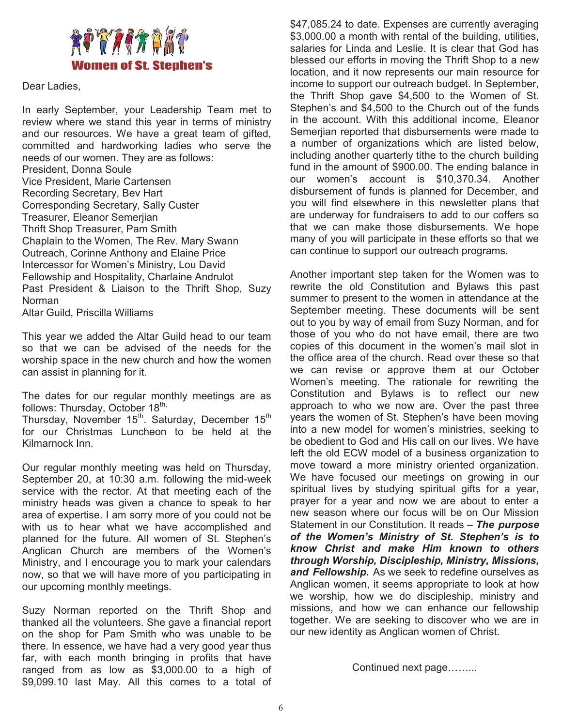

#### Dear Ladies,

In early September, your Leadership Team met to review where we stand this year in terms of ministry and our resources. We have a great team of gifted, committed and hardworking ladies who serve the needs of our women. They are as follows: President, Donna Soule Vice President, Marie Cartensen Recording Secretary, Bev Hart Corresponding Secretary, Sally Custer Treasurer, Eleanor Semerjian Thrift Shop Treasurer, Pam Smith Chaplain to the Women, The Rev. Mary Swann Outreach, Corinne Anthony and Elaine Price Intercessor for Women's Ministry, Lou David Fellowship and Hospitality, Charlaine Andrulot Past President & Liaison to the Thrift Shop, Suzy Norman

Altar Guild, Priscilla Williams

This year we added the Altar Guild head to our team so that we can be advised of the needs for the worship space in the new church and how the women can assist in planning for it.

The dates for our regular monthly meetings are as follows: Thursday, October  $18<sup>th</sup>$ ,

Thursday, November 15<sup>th</sup>. Saturday, December 15<sup>th</sup> for our Christmas Luncheon to be held at the Kilmarnock Inn.

Our regular monthly meeting was held on Thursday, September 20, at 10:30 a.m. following the mid-week service with the rector. At that meeting each of the ministry heads was given a chance to speak to her area of expertise. I am sorry more of you could not be with us to hear what we have accomplished and planned for the future. All women of St. Stephen's Anglican Church are members of the Women's Ministry, and I encourage you to mark your calendars now, so that we will have more of you participating in our upcoming monthly meetings.

Suzy Norman reported on the Thrift Shop and thanked all the volunteers. She gave a financial report on the shop for Pam Smith who was unable to be there. In essence, we have had a very good year thus far, with each month bringing in profits that have ranged from as low as \$3,000.00 to a high of \$9,099.10 last May. All this comes to a total of \$47,085.24 to date. Expenses are currently averaging \$3,000.00 a month with rental of the building, utilities, salaries for Linda and Leslie. It is clear that God has blessed our efforts in moving the Thrift Shop to a new location, and it now represents our main resource for income to support our outreach budget. In September, the Thrift Shop gave \$4,500 to the Women of St. Stephen's and \$4,500 to the Church out of the funds in the account. With this additional income, Eleanor Semerjian reported that disbursements were made to a number of organizations which are listed below, including another quarterly tithe to the church building fund in the amount of \$900.00. The ending balance in our women's account is \$10,370.34. Another disbursement of funds is planned for December, and you will find elsewhere in this newsletter plans that are underway for fundraisers to add to our coffers so that we can make those disbursements. We hope many of you will participate in these efforts so that we can continue to support our outreach programs.

Another important step taken for the Women was to rewrite the old Constitution and Bylaws this past summer to present to the women in attendance at the September meeting. These documents will be sent out to you by way of email from Suzy Norman, and for those of you who do not have email, there are two copies of this document in the women's mail slot in the office area of the church. Read over these so that we can revise or approve them at our October Women's meeting. The rationale for rewriting the Constitution and Bylaws is to reflect our new approach to who we now are. Over the past three years the women of St. Stephen's have been moving into a new model for women's ministries, seeking to be obedient to God and His call on our lives. We have left the old ECW model of a business organization to move toward a more ministry oriented organization. We have focused our meetings on growing in our spiritual lives by studying spiritual gifts for a year, prayer for a year and now we are about to enter a new season where our focus will be on Our Mission Statement in our Constitution. It reads – *The purpose of the Women's Ministry of St. Stephen's is to know Christ and make Him known to others through Worship, Discipleship, Ministry, Missions, and Fellowship.* As we seek to redefine ourselves as Anglican women, it seems appropriate to look at how we worship, how we do discipleship, ministry and missions, and how we can enhance our fellowship together. We are seeking to discover who we are in our new identity as Anglican women of Christ.

Continued next page……...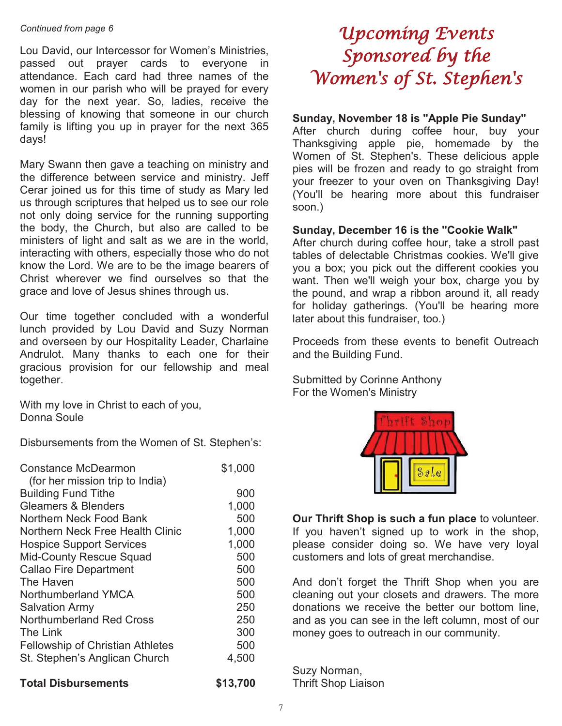#### *Continued from page 6*

Lou David, our Intercessor for Women's Ministries, passed out prayer cards to everyone in attendance. Each card had three names of the women in our parish who will be prayed for every day for the next year. So, ladies, receive the blessing of knowing that someone in our church family is lifting you up in prayer for the next 365 days!

Mary Swann then gave a teaching on ministry and the difference between service and ministry. Jeff Cerar joined us for this time of study as Mary led us through scriptures that helped us to see our role not only doing service for the running supporting the body, the Church, but also are called to be ministers of light and salt as we are in the world, interacting with others, especially those who do not know the Lord. We are to be the image bearers of Christ wherever we find ourselves so that the grace and love of Jesus shines through us.

Our time together concluded with a wonderful lunch provided by Lou David and Suzy Norman and overseen by our Hospitality Leader, Charlaine Andrulot. Many thanks to each one for their gracious provision for our fellowship and meal together.

With my love in Christ to each of you, Donna Soule

Disbursements from the Women of St. Stephen's:

| Constance McDearmon                     | \$1,000 |
|-----------------------------------------|---------|
| (for her mission trip to India)         |         |
| <b>Building Fund Tithe</b>              | 900     |
| <b>Gleamers &amp; Blenders</b>          | 1,000   |
| Northern Neck Food Bank                 | 500     |
| Northern Neck Free Health Clinic        | 1,000   |
| <b>Hospice Support Services</b>         | 1,000   |
| <b>Mid-County Rescue Squad</b>          | 500     |
| <b>Callao Fire Department</b>           | 500     |
| The Haven                               | 500     |
| Northumberland YMCA                     | 500     |
| <b>Salvation Army</b>                   | 250     |
| Northumberland Red Cross                | 250     |
| The Link                                | 300     |
| <b>Fellowship of Christian Athletes</b> | 500     |
| St. Stephen's Anglican Church           | 4,500   |
|                                         |         |

#### **Total Disbursements \$13,700**

## Upcoming Events Sponsored by the Women's of St. Stephen's

#### **Sunday, November 18 is "Apple Pie Sunday"**

After church during coffee hour, buy your Thanksgiving apple pie, homemade by the Women of St. Stephen's. These delicious apple pies will be frozen and ready to go straight from your freezer to your oven on Thanksgiving Day! (You'll be hearing more about this fundraiser soon.)

#### **Sunday, December 16 is the "Cookie Walk"**

After church during coffee hour, take a stroll past tables of delectable Christmas cookies. We'll give you a box; you pick out the different cookies you want. Then we'll weigh your box, charge you by the pound, and wrap a ribbon around it, all ready for holiday gatherings. (You'll be hearing more later about this fundraiser, too.)

Proceeds from these events to benefit Outreach and the Building Fund.

Submitted by Corinne Anthony For the Women's Ministry



**Our Thrift Shop is such a fun place** to volunteer. If you haven't signed up to work in the shop, please consider doing so. We have very loyal customers and lots of great merchandise.

And don't forget the Thrift Shop when you are cleaning out your closets and drawers. The more donations we receive the better our bottom line, and as you can see in the left column, most of our money goes to outreach in our community.

Suzy Norman, Thrift Shop Liaison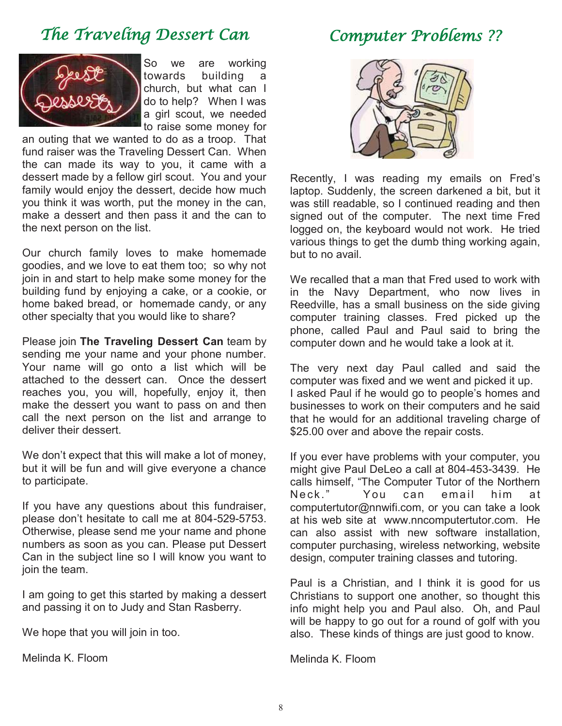## The Traveling Dessert Can

## Computer Problems ??



So we are working towards building a church, but what can I do to help? When I was a girl scout, we needed to raise some money for

an outing that we wanted to do as a troop. That fund raiser was the Traveling Dessert Can. When the can made its way to you, it came with a dessert made by a fellow girl scout. You and your family would enjoy the dessert, decide how much you think it was worth, put the money in the can, make a dessert and then pass it and the can to the next person on the list.

Our church family loves to make homemade goodies, and we love to eat them too; so why not join in and start to help make some money for the building fund by enjoying a cake, or a cookie, or home baked bread, or homemade candy, or any other specialty that you would like to share?

Please join **The Traveling Dessert Can** team by sending me your name and your phone number. Your name will go onto a list which will be attached to the dessert can. Once the dessert reaches you, you will, hopefully, enjoy it, then make the dessert you want to pass on and then call the next person on the list and arrange to deliver their dessert.

We don't expect that this will make a lot of money, but it will be fun and will give everyone a chance to participate.

If you have any questions about this fundraiser, please don't hesitate to call me at 804-529-5753. Otherwise, please send me your name and phone numbers as soon as you can. Please put Dessert Can in the subject line so I will know you want to join the team.

I am going to get this started by making a dessert and passing it on to Judy and Stan Rasberry.

We hope that you will join in too.

Melinda K. Floom



Recently, I was reading my emails on Fred's laptop. Suddenly, the screen darkened a bit, but it was still readable, so I continued reading and then signed out of the computer. The next time Fred logged on, the keyboard would not work. He tried various things to get the dumb thing working again, but to no avail.

We recalled that a man that Fred used to work with in the Navy Department, who now lives in Reedville, has a small business on the side giving computer training classes. Fred picked up the phone, called Paul and Paul said to bring the computer down and he would take a look at it.

The very next day Paul called and said the computer was fixed and we went and picked it up. I asked Paul if he would go to people's homes and businesses to work on their computers and he said that he would for an additional traveling charge of \$25.00 over and above the repair costs.

If you ever have problems with your computer, you might give Paul DeLeo a call at 804-453-3439. He calls himself, "The Computer Tutor of the Northern Neck." You can email him at computertutor@nnwifi.com, or you can take a look at his web site at www.nncomputertutor.com. He can also assist with new software installation, computer purchasing, wireless networking, website design, computer training classes and tutoring.

Paul is a Christian, and I think it is good for us Christians to support one another, so thought this info might help you and Paul also. Oh, and Paul will be happy to go out for a round of golf with you also. These kinds of things are just good to know.

Melinda K. Floom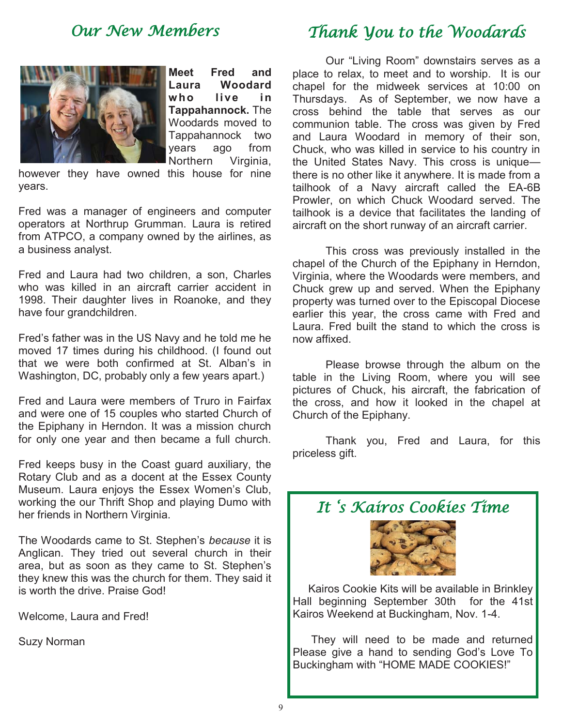## Our New Members



**Meet Fred and Laura Woodard w ho li ve i n Tappahannock.** The Woodards moved to Tappahannock two years ago from Northern Virginia,

however they have owned this house for nine years.

Fred was a manager of engineers and computer operators at Northrup Grumman. Laura is retired from ATPCO, a company owned by the airlines, as a business analyst.

Fred and Laura had two children, a son, Charles who was killed in an aircraft carrier accident in 1998. Their daughter lives in Roanoke, and they have four grandchildren.

Fred's father was in the US Navy and he told me he moved 17 times during his childhood. (I found out that we were both confirmed at St. Alban's in Washington, DC, probably only a few years apart.)

Fred and Laura were members of Truro in Fairfax and were one of 15 couples who started Church of the Epiphany in Herndon. It was a mission church for only one year and then became a full church.

Fred keeps busy in the Coast guard auxiliary, the Rotary Club and as a docent at the Essex County Museum. Laura enjoys the Essex Women's Club, working the our Thrift Shop and playing Dumo with her friends in Northern Virginia.

The Woodards came to St. Stephen's *because* it is Anglican. They tried out several church in their area, but as soon as they came to St. Stephen's they knew this was the church for them. They said it is worth the drive. Praise God!

Welcome, Laura and Fred!

Suzy Norman

## Thank You to the Woodards

Our "Living Room" downstairs serves as a place to relax, to meet and to worship. It is our chapel for the midweek services at 10:00 on Thursdays. As of September, we now have a cross behind the table that serves as our communion table. The cross was given by Fred and Laura Woodard in memory of their son, Chuck, who was killed in service to his country in the United States Navy. This cross is unique there is no other like it anywhere. It is made from a tailhook of a Navy aircraft called the EA-6B Prowler, on which Chuck Woodard served. The tailhook is a device that facilitates the landing of aircraft on the short runway of an aircraft carrier.

 This cross was previously installed in the chapel of the Church of the Epiphany in Herndon, Virginia, where the Woodards were members, and Chuck grew up and served. When the Epiphany property was turned over to the Episcopal Diocese earlier this year, the cross came with Fred and Laura. Fred built the stand to which the cross is now affixed.

 Please browse through the album on the table in the Living Room, where you will see pictures of Chuck, his aircraft, the fabrication of the cross, and how it looked in the chapel at Church of the Epiphany.

 Thank you, Fred and Laura, for this priceless gift.

## It ' s Kairos Cookies Time



 Kairos Cookie Kits will be available in Brinkley Hall beginning September 30th for the 41st Kairos Weekend at Buckingham, Nov. 1-4.

 They will need to be made and returned Please give a hand to sending God's Love To Buckingham with "HOME MADE COOKIES!"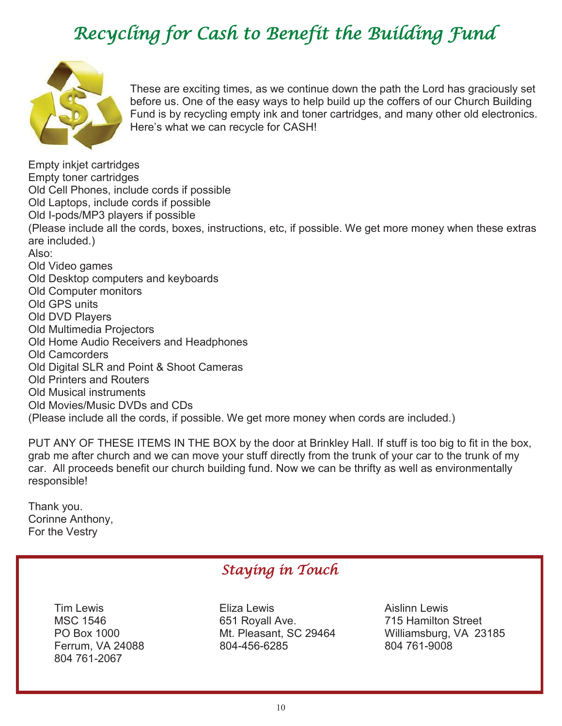# Recycling for Cash to Benefit the Building Fund



These are exciting times, as we continue down the path the Lord has graciously set before us. One of the easy ways to help build up the coffers of our Church Building Fund is by recycling empty ink and toner cartridges, and many other old electronics. Here's what we can recycle for CASH!

Empty inkjet cartridges Empty toner cartridges Old Cell Phones, include cords if possible Old Laptops, include cords if possible Old I-pods/MP3 players if possible (Please include all the cords, boxes, instructions, etc, if possible. We get more money when these extras are included.) Also: Old Video games Old Desktop computers and keyboards Old Computer monitors Old GPS units Old DVD Players Old Multimedia Projectors Old Home Audio Receivers and Headphones Old Camcorders Old Digital SLR and Point & Shoot Cameras Old Printers and Routers Old Musical instruments Old Movies/Music DVDs and CDs (Please include all the cords, if possible. We get more money when cords are included.)

PUT ANY OF THESE ITEMS IN THE BOX by the door at Brinkley Hall. If stuff is too big to fit in the box, grab me after church and we can move your stuff directly from the trunk of your car to the trunk of my car. All proceeds benefit our church building fund. Now we can be thrifty as well as environmentally responsible!

Thank you. Corinne Anthony, For the Vestry

## Staying in Touch

Ferrum, VA 24088 804-456-6285 804 761-2067

Tim Lewis Eliza Lewis Aislinn Lewis MSC 1546 **651 Royall Ave.** 715 Hamilton Street

PO Box 1000 Mt. Pleasant, SC 29464 Williamsburg, VA 23185<br>Ferrum. VA 24088 604-456-6285 804 804 761-9008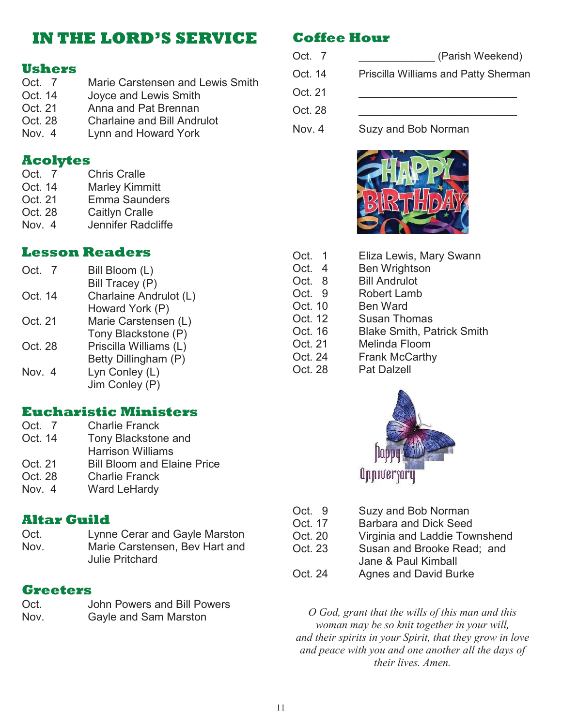## **IN THE LORD'S SERVICE**

# **Ushers**

- Marie Carstensen and Lewis Smith Oct. 14 Joyce and Lewis Smith Oct. 21 Anna and Pat Brennan Oct. 28 Charlaine and Bill Andrulot
- Nov. 4 Lynn and Howard York

### **Acolytes**

- Oct. 7 Chris Cralle
- Oct. 14 Marley Kimmitt
- Oct. 21 Emma Saunders
- Oct. 28 Caitlyn Cralle
- Nov. 4 Jennifer Radcliffe

#### **Lesson Readers**

| Oct. 7  | Bill Bloom (L)         |
|---------|------------------------|
|         | Bill Tracey (P)        |
| Oct. 14 | Charlaine Andrulot (L) |
|         | Howard York (P)        |
| Oct. 21 | Marie Carstensen (L)   |
|         | Tony Blackstone (P)    |
| Oct. 28 | Priscilla Williams (L) |
|         | Betty Dillingham (P)   |
| Nov. 4  | Lyn Conley (L)         |
|         | Jim Conley (P)         |
|         |                        |

### **Eucharistic Ministers**

| Oct. 7  | <b>Charlie Franck</b>              |
|---------|------------------------------------|
| Oct. 14 | Tony Blackstone and                |
|         | <b>Harrison Williams</b>           |
| Oct. 21 | <b>Bill Bloom and Elaine Price</b> |
| Oct. 28 | <b>Charlie Franck</b>              |
| Nov. 4  | <b>Ward LeHardy</b>                |

### **Altar Guild**

Oct. Lynne Cerar and Gayle Marston Nov. Marie Carstensen, Bev Hart and Julie Pritchard

### **Greeters**

| Oct. | John Powers and Bill Powers |
|------|-----------------------------|
| Nov. | Gayle and Sam Marston       |

## **Coffee Hour**

| (Parish Weekend)                     |
|--------------------------------------|
| Priscilla Williams and Patty Sherman |
|                                      |
|                                      |
|                                      |

Nov. 4 Suzy and Bob Norman



| Oct. 1  | Eliza Lewis, Mary Swann           |
|---------|-----------------------------------|
| Oct. 4  | Ben Wrightson                     |
| Oct. 8  | <b>Bill Andrulot</b>              |
| Oct. 9  | <b>Robert Lamb</b>                |
| Oct. 10 | Ben Ward                          |
| Oct. 12 | <b>Susan Thomas</b>               |
| Oct. 16 | <b>Blake Smith, Patrick Smith</b> |
| Oct. 21 | Melinda Floom                     |
| Oct. 24 | <b>Frank McCarthy</b>             |
| Oct. 28 | <b>Pat Dalzell</b>                |
|         |                                   |



- Oct. 9 Suzy and Bob Norman
- Oct. 17 Barbara and Dick Seed
- Oct. 20 Virginia and Laddie Townshend
- Oct. 23 Susan and Brooke Read; and
	- Jane & Paul Kimball
- Oct. 24 Agnes and David Burke

*O God, grant that the wills of this man and this woman may be so knit together in your will, and their spirits in your Spirit, that they grow in love and peace with you and one another all the days of their lives. Amen.*